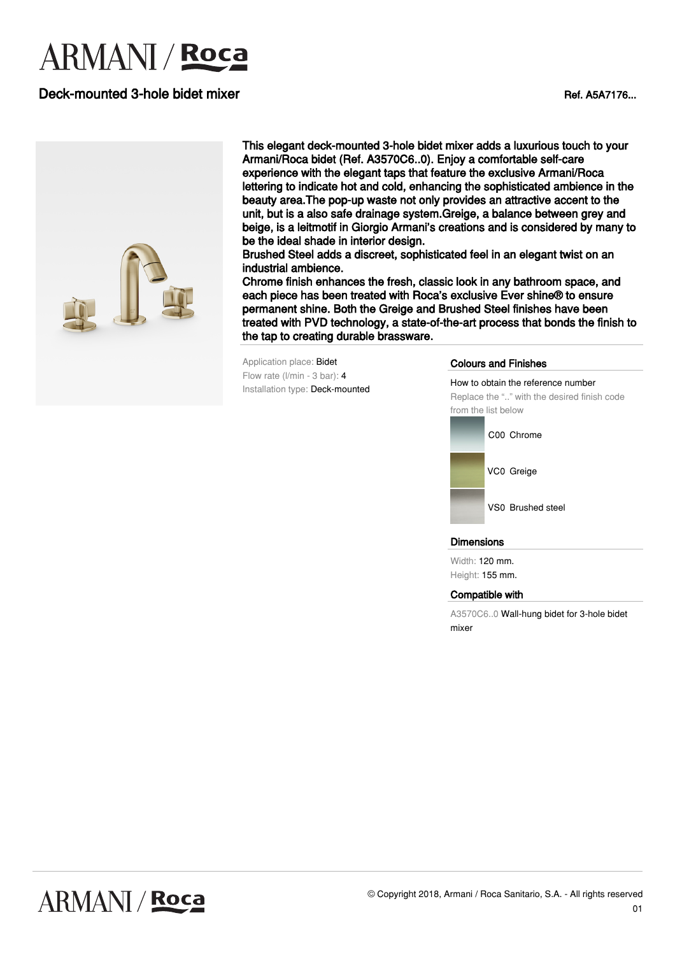# **ARMANI** / **Roca**

## Deck-mounted 3-hole bidet mixer Ref. Assets and the control of the Ref. A5A7176...



This elegant deck-mounted 3-hole bidet mixer adds a luxurious touch to your Armani/Roca bidet (Ref. A3570C6..0). Enjoy a comfortable self-care experience with the elegant taps that feature the exclusive Armani/Roca lettering to indicate hot and cold, enhancing the sophisticated ambience in the beauty area.The pop-up waste not only provides an attractive accent to the unit, but is a also safe drainage system.Greige, a balance between grey and beige, is a leitmotif in Giorgio Armani's creations and is considered by many to be the ideal shade in interior design.

Brushed Steel adds a discreet, sophisticated feel in an elegant twist on an industrial ambience.

Chrome finish enhances the fresh, classic look in any bathroom space, and each piece has been treated with Roca's exclusive Ever shine® to ensure permanent shine. Both the Greige and Brushed Steel finishes have been treated with PVD technology, a state-of-the-art process that bonds the finish to the tap to creating durable brassware.

Application place: Bidet Flow rate (l/min - 3 bar): 4 Installation type: Deck-mounted

#### Colours and Finishes

How to obtain the reference number Replace the ".." with the desired finish code from the list below



VS0 Brushed steel

#### Dimensions

Width: 120 mm. Height: 155 mm.

#### Compatible with

A3570C6..0 Wall-hung bidet for 3-hole bidet mixer

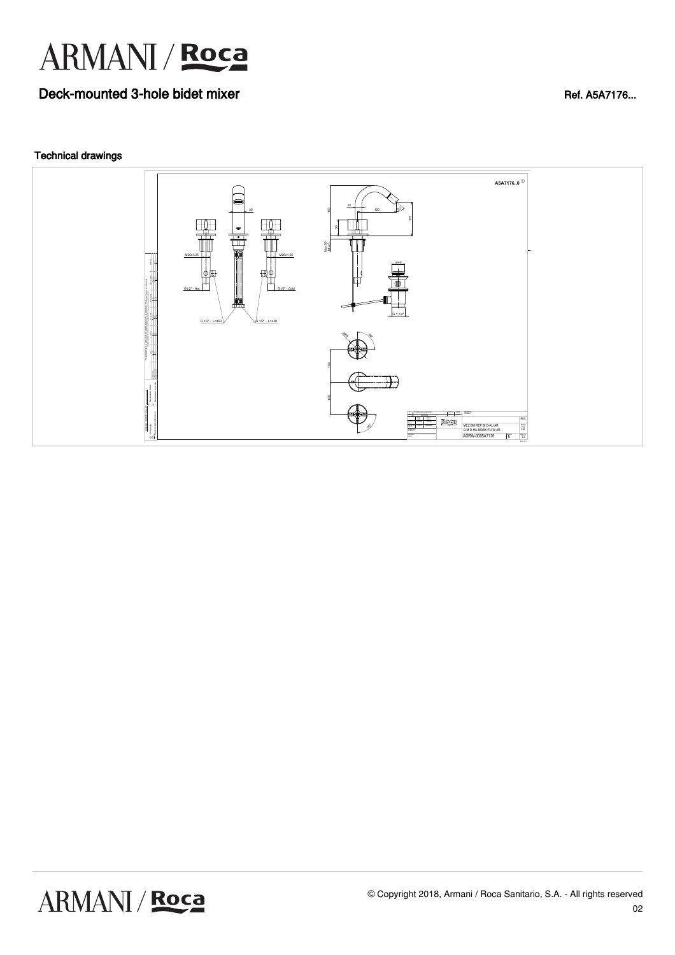

## Deck-mounted 3-hole bidet mixer Ref. Assets and the Ref. Assets and Ref. Assets and Ref. Assets and Ref. Assets and Ref. Assets and Ref. Assets and Ref. Assets and Ref. Assets and Ref. Assets and Ref. Assets and Ref. Asset

### Technical drawings

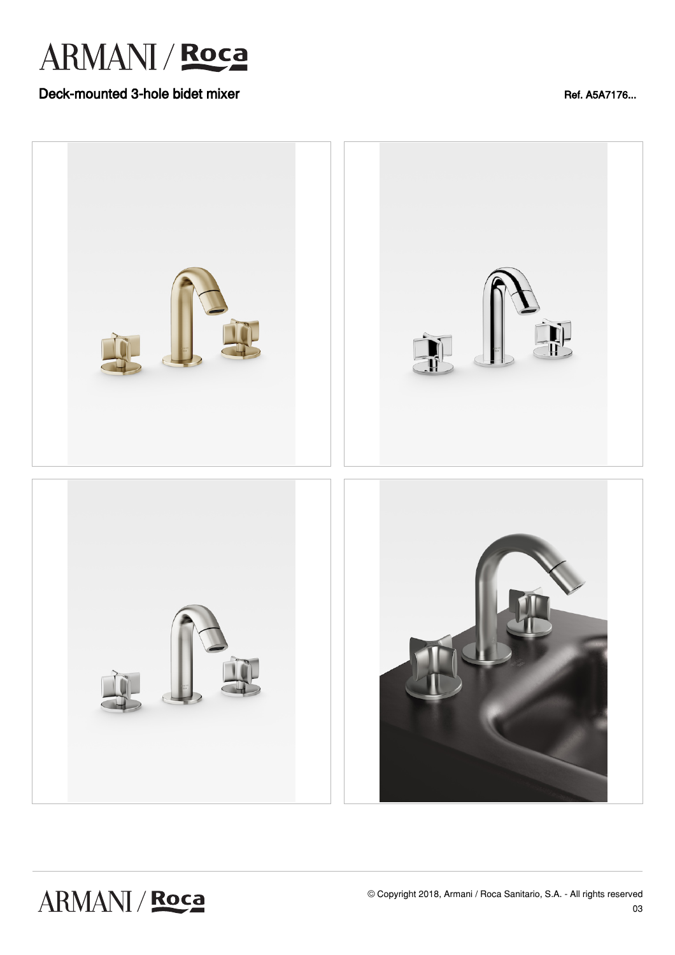

## Deck-mounted 3-hole bidet mixer Ref. Assets and the Ref. Assets and Ref. Assets and Ref. Assets and Ref. Assets a media of  $R$